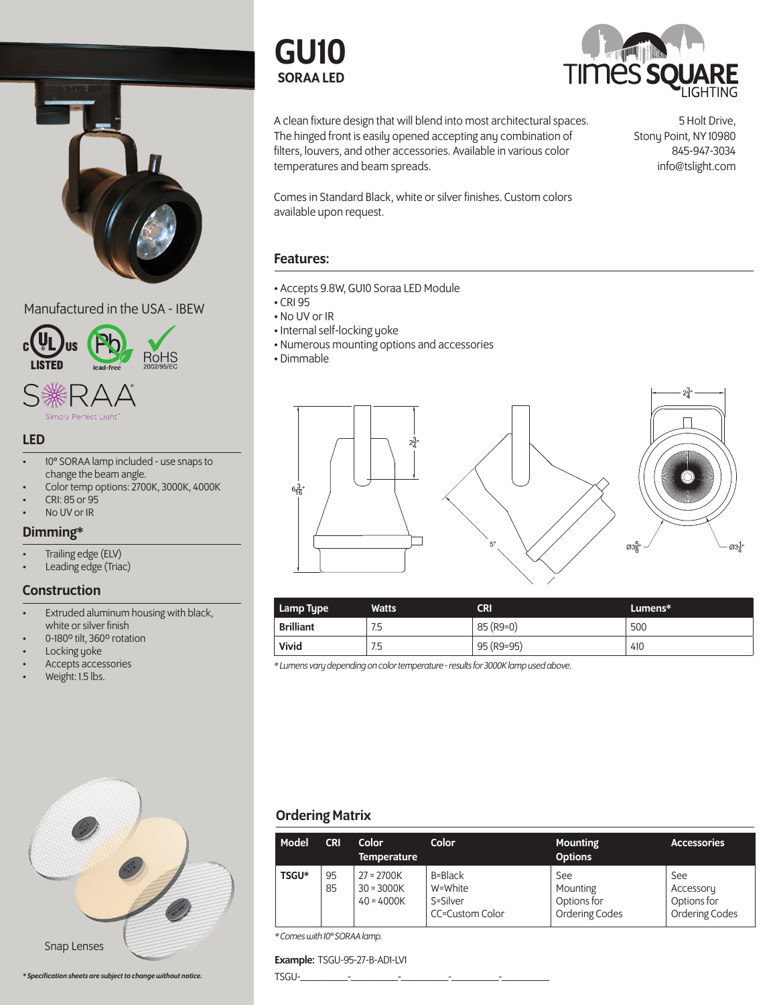

## Manufactured in the USA - IBEW





## LED

- 10° SORAA lamp included use snaps to change the beam angle.
- Color temp options: 2700K, 3000K, 4000K
- CRI: 85 or 95
- No UV or IR

## Dimming\*

- Trailing edge (ELV)
- Leading edge (Triac)

## Construction

- Extruded aluminum housing with black, white or silver finish
- 0-180º tilt, 360º rotation
- Locking yoke
- Accepts accessories
- Weight: 1.5 lbs.





A clean fixture design that will blend into most architectural spaces. The hinged front is easily opened accepting any combination of filters, louvers, and other accessories. Available in various color temperatures and beam spreads.

5 Holt Drive, Stony Point, NY 10980 845-947-3034 info@tslight.com

Comes in Standard Black, white or silver finishes. Custom colors available upon request.

# Features:

- Accepts 9.8W, GU10 Soraa LED Module
- CRI 95
- No UV or IR
- Internal self-locking yoke
- Numerous mounting options and accessories
- Dimmable



| Lamp Type        | <b>Watts</b> | <b>CRI</b>  | $L$ umens $*$ |
|------------------|--------------|-------------|---------------|
| <b>Brilliant</b> | 7.5          | $85$ (R9=0) | 500           |
| Vivid            | 7.5          | 95 (R9=95)  | 410           |

*\* Lumens vary depending on color temperature - results for 3000K lamp used above.*



*\* Specification sheets are subject to change without notice.*

# Ordering Matrix

| Model        | <b>CRI</b> | Color<br><b>Temperature</b>                  | Color                                             | <b>Mounting</b><br><b>Options</b>                | <b>Accessories</b>                                       |
|--------------|------------|----------------------------------------------|---------------------------------------------------|--------------------------------------------------|----------------------------------------------------------|
| <b>TSGU*</b> | 95<br>85   | $27 = 2700K$<br>$30 = 3000K$<br>$40 = 4000K$ | B=Black<br>W=White<br>S=Silver<br>CC=Custom Color | See<br>Mounting<br>Options for<br>Ordering Codes | See<br>Accessory<br>Options for<br><b>Ordering Codes</b> |

*\* Comes with 10° SORAA lamp.*

#### Example: TSGU-95-27-B-AD1-LV1

TSGU-\_\_\_\_\_\_\_\_\_-\_\_\_\_\_\_\_\_\_-\_\_\_\_\_\_\_\_\_-\_\_\_\_\_\_\_\_\_-\_\_\_\_\_\_\_\_\_